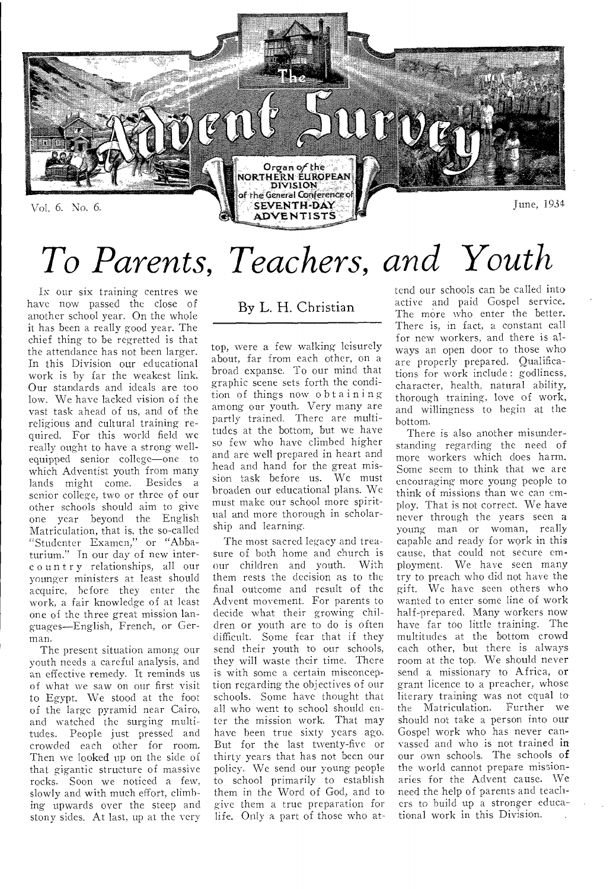

# *To Parents, Teachers, and Youth*

IN our six training centres we have now passed the close of another school year. On the whole it has been a really good year. The chief thing to be regretted is that the attendance has not been larger. In this Division our educational work is by far the weakest link. Our standards and ideals are too low. We have lacked vision of the vast task ahead of us, and of the religious and cultural training required. For this world field we really ought to have a strong wellequipped senior college—one to which Adventist youth from many lands might come. Besides a senior college, two or three of our other schools should aim to give one year beyond the English Matriculation, that is, the so-called "Studenter Examen," or "Abbaturium." In our day of new interc ountry relationships, all our younger ministers at least should acquire, before they enter the work, a fair knowledge of at least one of the three great mission languages—English, French, or German.

The present situation among our youth needs a careful analysis, and an effective remedy. It reminds us of what we saw on our first visit to Egypt. We stood at the foot of the large pyramid near Cairo, and watched the surging multitudes. People just pressed and crowded each other for room. Then we looked up on the side of that gigantic structure of massive rocks. Soon we noticed a few, slowly and with much effort, climbing upwards over the steep and stony sides. At last, up at the very

By L. H. Christian

top, were a few walking leisurely about, far from each other, on a broad expanse. To our mind that graphic scene sets forth the condition of things now obtaining among our youth. Very many are partly trained. There are multitudes at the bottom, but we have so few who have climbed higher and are well prepared in heart and head and hand for the great mission task before us. We must broaden our educational plans. We must make our school more spiritual and more thorough in scholarship and learning.

The most sacred legacy and treasure of both home and church is our children and youth. With them rests the decision as to the final outcome and result of the Advent movement. For parents to decide what their growing children or youth are to do is often difficult. Some fear that if they send their youth to our schools, they will waste their time. There is with some a certain misconception regarding the objectives of our schools. Some have thought that all who went to school should enter the mission work. That may have been true sixty years ago. But for the last twenty-five or thirty years that has not been our policy. We send our young people to school primarily to establish them in the Word of God, and to give them a true preparation for life. Only a part of those who at-

tend our schools can be called into active and paid Gospel service. The more who enter the better. There is, in fact, a constant call for new workers, and there is always an open door to those who are properly prepared. Qualifications for work include : godliness, character, health, natural ability, thorough training, love of work, and willingness to begin at the bottom.

There is also another misunderstanding regarding the need of more workers which does harm. Some seem to think that we are encouraging more young people to think of missions than we can employ. That is not correct. We have never through the years seen a young man or woman, really capable and ready for work in this cause, that could not secure employment. We have seen many try to preach who did not have the gift. We have seen others who wanted to enter some line of work half-prepared. Many workers now have far too little training. The multitudes at the bottom crowd each other, but there is always room at the top. We should never send a missionary to Africa, or grant licence to a preacher, whose literary training was not equal to the Matriculation. Further we should not take a person into our Gospel work who has never canvassed and who is not trained in our own schools. The schools of the world cannot prepare missionaries for the Advent cause. We need the help of parents and teachers to build up a stronger educational work in this Division.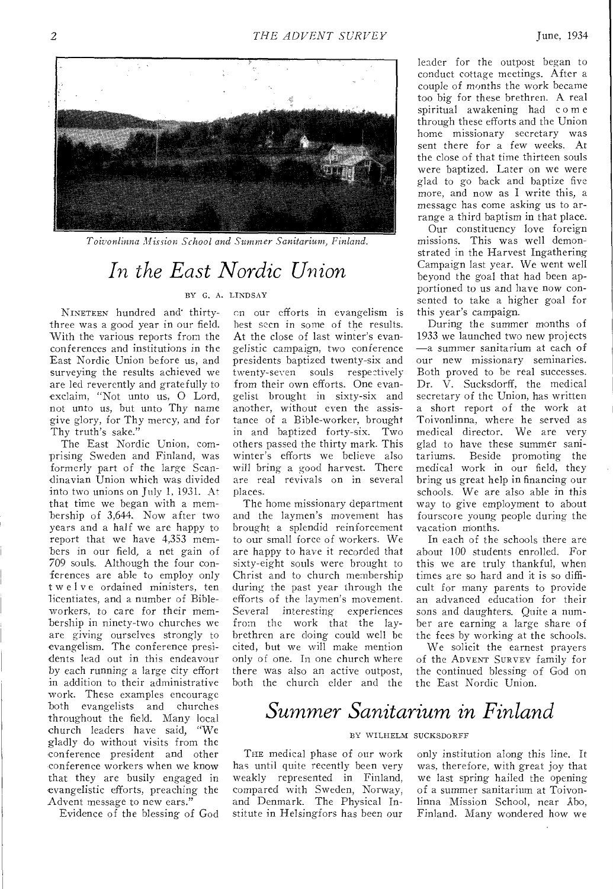

*Toivonlinna Misrion School and Summer Sanitarium, Finland.* 

# *In the East Nordic Union*

#### BY G. A. LINDSAY

NINETEEN hundred and' thirtythree was a good year in our field. With the various reports from the conferences and institutions in the East Nordic Union before us, and surveying the results achieved we are led reverently and gratefully to exclaim, "Not unto us, 0 Lord, not unto us, but unto Thy name give glory, for Thy mercy, and for Thy truth's sake."

The East Nordic Union, comprising Sweden and Finland, was formerly part of the large Scandinavian Union which was divided into two unions on July 1, 1931. At that time we began with a membership of 3,644. Now after two years and a half we are happy to report that we have 4,353 members in our field, a net gain of 709 souls. Although the four conferences are able to employ only twelve ordained ministers, ten licentiates, and a number of Bibleworkers, to care for their membership in ninety-two churches we are giving ourselves strongly to evangelism. The conference presidents lead out in this endeavour by each running a large city effort in addition to their administrative work. These examples encourage both evangelists and churches throughout the field. Many local church leaders have said, "We gladly do without visits from the conference president and other conference workers when we know that they are busily engaged in evangelistic efforts, preaching the Advent message to new ears."

Evidence of the blessing of God

on our efforts in evangelism is best seen in some of the results. At the close of last winter's evangelistic campaign, two conference presidents baptized twenty-six and twenty-seven souls respectively from their own efforts. One evangelist brought in sixty-six and another, without even the assistance of a Bible-worker, brought in and baptized forty-six. Two others passed the thirty mark. This winter's efforts we believe also will bring a good harvest. There are real revivals on in several places.

The home missionary department and the laymen's movement has brought a splendid reinforcement to our small force of workers. We are happy to have it recorded that sixty-eight souls were brought to Christ and to church membership during the past year through the efforts of the laymen's movement. Several *interesting* experiences from the work that the laybrethren are doing could well be cited, but we will make mention only of one. In one church where there was also an active outpost, both the church elder and the

leader for the outpost began to conduct cottage meetings. After a couple of months the work became too big for these brethren. A real spiritual awakening had come through these efforts and the Union home missionary secretary was sent there for a few weeks. At the close of that time thirteen souls were baptized. Later on we were glad to go back and baptize five more, and now as I write this, a message has come asking us to arrange a third baptism in that place.

Our constituency love foreign missions. This was well demonstrated in the Harvest Ingathering Campaign last year. We went well beyond the goal that had been apportioned to us and have now consented to take a higher goal for this year's campaign.

During the summer months of 1933 we launched two new projects —a summer sanitarium at each of our new missionary seminaries. Both proved to be real successes. Dr.  $\hat{V}$ . Sucksdorff, the medical secretary of the Union, has written a short report of the work at Toivonlinna, where he served as medical director. We are very glad to have these summer sanitariums. Beside promoting the medical work in our field, they bring us great help in financing our schools. We are also able in this way to give employment to about fourscore young people during the vacation months.

In each of the schools there are about 100 students enrolled. For this we are truly thankful, when times are so hard and it is so difficult for many parents to provide an advanced education for their sons and daughters. Quite a number are earning a large share of the fees by working at the schools.

We solicit the earnest prayers of the ADVENT SURVEY family for the continued blessing of God on the East Nordic Union.

### *Summer Sanitarium in Finland*

#### BY WILHELM SUCKSDORFF

THE medical phase of our work has until quite recently been very weakly represented in Finland, compared with Sweden, Norway, and Denmark. The Physical Institute in Helsingfors has been our

only institution along this line. It was, therefore, with great joy that we last spring hailed the opening of a summer sanitarium at Toivonlinna Mission School, near Abo, Finland. Many wondered how we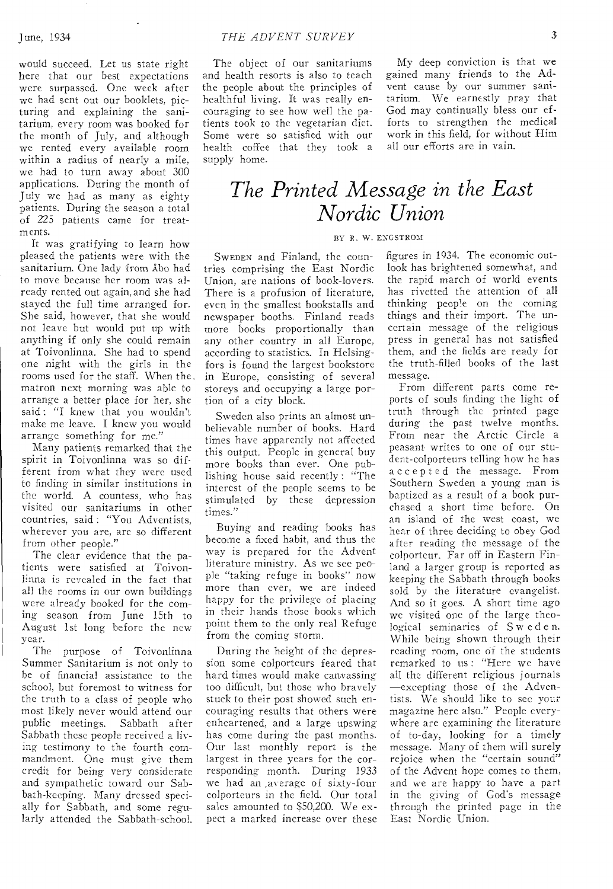would succeed. Let us state right here that our best expectations were surpassed. One week after we had sent out our booklets, picturing and explaining the sanitarium, every room was booked for the month of July, and although we rented every available room within a radius of nearly a mile, we had to turn away about 300 applications. During the month of July we had as many as eighty patients. During the season a total of 225 patients came for treatments.

It was gratifying to learn how pleased the patients were with the sanitarium. One lady from Abo had to move because her room was already rented out again,and she had stayed the full time arranged for. She said, however, that she would not leave but would put up with anything if only she could remain at Toivonlinna. She had to spend one night with the girls in the rooms used for the staff. When the. matron next morning was able to arrange a better place for her, she said : "I knew that you wouldn't make me leave. I knew you would arrange something for me."

Many patients remarked that the spirit in Toivonlinna was so different from what they were used to finding in similar institutions in the world. A countess, who has visited our sanitariums in other countries, said : "You Adventists, wherever you are, are so different from other people."

The clear evidence that the patients **were** satisfied at Toivonlinna is revealed in the fact that all the **rooms in** our own buildings were already booked for the coming **season** from June 15th to **August** 1st long before the new year.<br>The

purpose of Toivonlinna Summer Sanitarium is not only to be of financial assistance to the school, but foremost to witness for the truth to a class of people who most likely never would attend our public meetings. Sabbath after Sabbath these people received a living testimony to the **fourth** commandment. One must **give** them credit for being very considerate and sympathetic toward our Sabbath-keeping. Many dressed specially for Sabbath, and some regularly attended the Sabbath-school.

The object of our sanitariums and health resorts is also to teach the people about the principles of healthful living. It was really encouraging to see how well the patients took to the vegetarian diet. Some were so satisfied with our health coffee that they took a supply home.

My deep conviction is that we gained many friends to the Advent cause by our summer sanitarium. We earnestly pray that God may continually bless our efforts to strengthen the medical work in this field, for without Him all our efforts are in vain.

### *The Printed Message in the East Nordic Union*

#### BY R. W. ENGSTROM

SWEDEN and Finland, the countries comprising the East Nordic Union, are nations of book-lovers. There is a profusion of literature, even in the smallest bookstalls and newspaper booths. Finland reads more books proportionally than any other country in all Europe, according to statistics. In Helsingfors is found the largest bookstore in Europe, consisting **of several**  storeys and occupying **a large** portion **of a** city block.

Sweden also prints an almost unbelievable number of books. Hard times have apparently not affected this output. People in general buy more books than ever. One publishing house said recently : "The interest of the people seems to be stimulated by these depression times."

Buying and reading books has become a fixed habit, and thus the way is prepared for the Advent literature ministry. As we see people "taking refuge **in** books" now **more** than ever, **we** are indeed happy for the **privilege** of placing in their hands those books which point them to the only real Refuge from the coming storm.

During the height of the depression some colporteurs feared that hard times would make canvassing too difficult, but those who bravely stuck to their post **showed** such encouraging results that **others** were **enheartenecl,** and a large upswing has come during the past months. Our **last** monthly report is the largest in three years for the corresponding **month.** During 1933 we had an average of sixty-four colporteurs in the field. Our total sales amounted to \$50,200. We expect a marked increase over **these**  figures in 1934. The economic outlook has brightened somewhat, and the rapid march of world events has rivetted the attention of all thinking people on the coming things and their import. The uncertain message of the religious press in general has not satisfied them, and the fields are ready for the truth-filled books of the last message.

From different parts come reports of souls finding the light of truth through the printed page during the past twelve months. From near the Arctic Circle a peasant writes to one of our student-colporteurs telling how he has accepted the message. From Southern Sweden a young man is baptized as a result of a book purchased **a** short time before. **On an island** of the west coast, we **hear of** three deciding to obey God after reading the message of the colporteur. **Far** off in Eastern Finland **a** larger group is reported as keeping the Sabbath through books sold by the literature evangelist. And so it goes. A short time ago we visited **one of** the large theological seminaries of Sweden. While **being** shown through their reading **room,** one of the students remarked to us : "Here we have all the different religious journals —excepting those of the Adventists. We should like to see **your magazine** here also." People **everywhere are** examining the literature of **to-day,** looking for a timely **message.** Many of them will surely rejoice when the "certain sound" of the Advent hope comes to them, and we are happy to have a part in the **giving-** of God's message through **the** printed **page in the East** Nordic Union.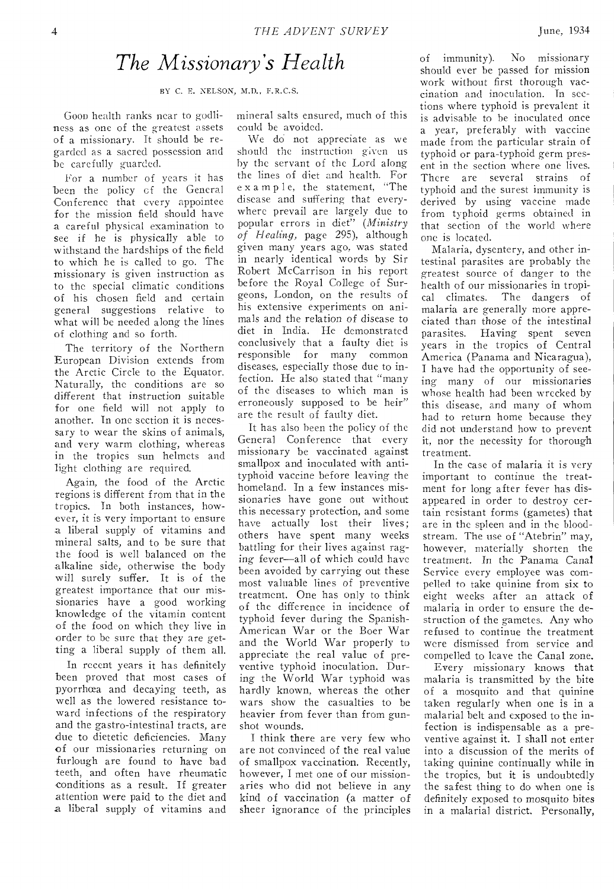### *The Missionary's Health*

BY *C.* E. NELSON, M.D., F.R.C.S.

Goon health ranks near to godliness as one of the greatest assets of a missionary. It should be regarded as a sacred possession and be carefully guarded.

For a number of years it has been the policy cf the General Conference that every appointee for the mission field should have a careful physical examination to see if he is physically able to withstand the hardships of the field to which he is called to go. The missionary is given instruction as to the special climatic conditions of his chosen field and certain general suggestions relative to what will be needed along the lines of clothing and so forth.

The territory of the Northern European Division extends from the Arctic Circle to the Equator. Naturally, the conditions are so different that instruction suitable for one field will not apply to another. In one section it is necessary to wear the skins of animals, and very warm clothing, whereas in the tropics sun helmets and light clothing are required.

Again, the food of the Arctic regions is different from that in the tropics. In both instances, however, it is very important to ensure a liberal supply of vitamins and mineral salts, and to be sure that the food is well balanced on the alkaline side, otherwise the body will surely suffer. It is of the greatest importance that our missionaries have a good working knowledge of the vitamin content of the food on which they live in order to be sure that they are getting a liberal supply of them all.

In recent years it has definitely been proved that most cases of pyorrhoea and decaying teeth, as well as the lowered resistance toward infections of the respiratory and the gastro-intestinal tracts, are due to dietetic deficiencies. Many of our missionaries returning on furlough are found to have bad teeth, and often have rheumatic conditions as a result. If greater attention were paid to the diet and a liberal supply of vitamins and

mineral salts ensured, much of this could be avoided.

We do not appreciate as we should the instruction given us by the servant of the Lord along the lines of diet and health. For ex amp 1 e, the statement, "The disease and suffering that everywhere prevail are largely due to popular errors in diet" *(Ministry of Heating,* page 295), although given many years ago, was stated in nearly identical words by Sir Robert McCarrison in his report before the Royal College of Surgeons, London, on the results of his extensive experiments on animals and the relation of disease to diet in India. He demonstrated conclusively that a faulty diet is responsible for many common diseases, especially those due to infection. He also stated that "many of the diseases to which man is erroneously supposed to be heir" are the result of faulty diet.

It has also been the policy of the General Conference that every missionary be vaccinated against smallpox and inoculated with antityphoid vaccine before leaving the homeland. In a few instances missionaries have gone out without this necessary protection, and some have actually lost their lives; others have spent many weeks battling for their lives against raging fever—all of which could have been avoided by carrying out these most valuable lines of preventive treatment. One has only to think of the difference in incidence of typhoid fever during the Spanish-American War or the Boer War and the World War properly to appreciate the real value of preventive typhoid inoculation. During the World War typhoid was hardly known, whereas the other wars show the casualties to be heavier from fever than from gunshot wounds.

I think there are very few who are not convinced of the real value of smallpox vaccination. Recently, however, I met one of our missionaries who did not believe in any kind of vaccination (a matter of sheer ignorance of the principles of immunity). No missionary should ever be passed for mission work without first thorough vaccination and inoculation. In sections where typhoid is prevalent it is advisable to be inoculated once a year, preferably with vaccine made from the particular strain of typhoid or para-typhoid germ present in the section where one lives. There are several strains of typhoid and the surest immunity is derived by using vaccine made from typhoid germs obtained in that section of the world where one is located.

Malaria, dysentery, and other intestinal parasites are probably the greatest source of danger to the health of our missionaries in tropical climates. The dangers of malaria are generally more appreciated than those of the intestinal parasites. Having spent seven years in the tropics of Central America (Panama and Nicaragua), I have had the opportunity of seeing many of our missionaries whose health had been wrecked by this disease, and many of whom had to return home because they did not understand how to prevent it, nor the necessity for thorough treatment.

In the case of malaria it is very important to continue the treatment for long after fever has disappeared in order to destroy certain resistant forms (gametes) that are in the spleen and in the bloodstream. The use of "Atebrin" may, however, materially shorten the treatment. In the Panama Canal Service every employee was compelled to take quinine from six to eight weeks after an attack of malaria in order to ensure the destruction of the gametes. Any who refused to continue the treatment were dismissed from service and compelled to leave the Canal zone.

Every missionary knows that malaria is transmitted by the bite of a mosquito and that quinine taken regularly when one is in a malarial belt and exposed to the infection is indispensable as a preventive against it. I shall not enter into a discussion of the merits of taking quinine continually while in the tropics, but it is undoubtedly the safest thing to do when one is definitely exposed to mosquito bites in a malarial district. Personally,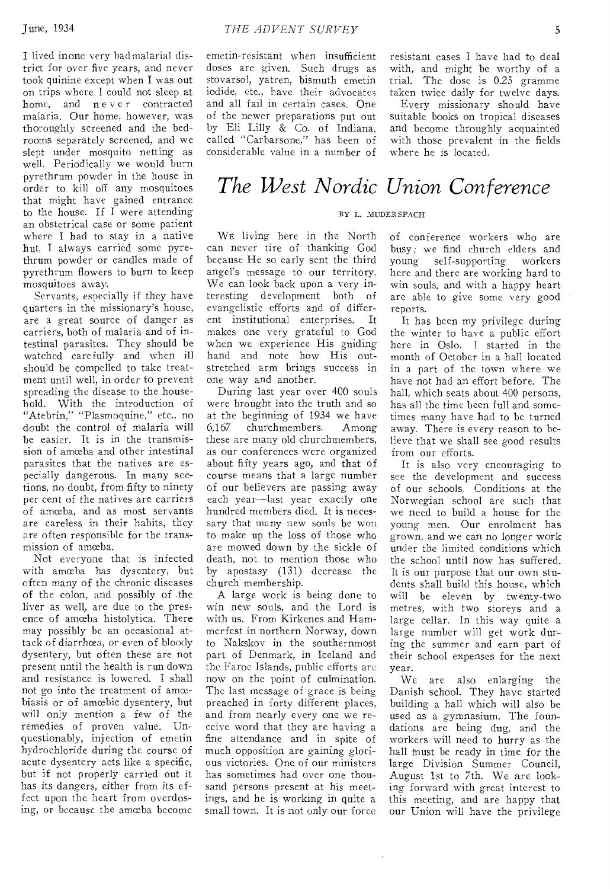I lived inone very badmalarial district for over five years, and never took quinine except when I was out on trips where I could not sleep at home, and never contracted malaria. Our home, however, was thoroughly screened and the bedrooms separately screened, and we slept under mosquito netting as well. Periodically we would burn pyrethrum powder in the house in order to kill off any mosquitoes that might have gained entrance to the house. If I were attending an obstetrical case or some patient where I had to stay in a native hut, I always carried some pyrethrum powder or candles made of pyrethrum flowers to burn to keep mosquitoes away.

Servants, especially if they have quarters in the missionary's house, are a great source of danger as carriers, both of malaria and of intestinal parasites. They should be watched carefully and when ill should be compelled to take treatment until well, in order to prevent spreading the disease to the household. With the introduction of "Atebrin," "Plasmoquine," etc., no doubt the control of malaria will be easier. It is in the transmission of amœba and other intestinal parasites that the natives are especially dangerous. In many sections, no doubt, from fifty to ninety per cent of the natives are carriers of amceba, and as most servants are careless in their habits, they are often responsible for the transmission of amceba.

Not everyone that is infected with amœba has dysentery, but often many of the chronic diseases of the colon, and possibly of the liver as well, are due to the presence of amceba histolytica. There may possibly be an occasional attack of diarrhœa, or even of bloody dysentery, but often these are not present until the health is run down and resistance is lowered. I shall not go into the treatment of amœbiasis or of amoebic dysentery, but will only mention a few of the remedies of proven value. Unquestionably, injection of emetin hydrochloride during the course of acute dysentery acts like a specific, but if not properly carried out it has its dangers, either from its effect upon the heart from overdosing, or because the amceba become

emetin-resistant when insufficient doses are given. Such drugs as stovarsol, yatren, bismuth emetin iodide, etc., have their advocates and all fail in certain cases. One of the newer preparations put out by Eli Lilly & Co. of Indiana, called "Carbarsone," has been of considerable value in a number of

resistant cases I have had to deal with, and might be worthy of a trial. The dose is 0.25 gramme taken twice daily for twelve days.

Every missionary should have suitable books on tropical diseases and become throughly acquainted with those prevalent in the fields where he is located.

# *The West \_N ordic Union Conference*

#### BY L. MUDERSRACH

WE living here in the North can never tire of thanking God because He so early sent the third angel's message to our territory. We can look back upon a very interesting development both of evangelistic efforts and of different institutional enterprises. It makes one very grateful to God when we experience His guiding hand and note how His outstretched arm brings success in one way and another.

During last year over 400 souls were brought into the truth and so at the beginning of 1934 we have 6,167 churchmembers. Among these are many old churchmembers, as our conferences were organized about fifty years ago, and that of course means that a large number of our believers are passing away each year—last year exactly one hundred members died. It is necessary that many new souls be won to make up the loss of those who are mowed down by the sickle of death, not to mention those who by apostasy (131) decrease the church membership.

A large work is being done to win new souls, and the Lord is with us. From Kirkenes and Hammerfest in northern Norway, down to Nakskov in the southernmost part of Denmark, in Iceland and the Faroe Islands, public efforts are now on the point of culmination. The last message of grace is being preached in forty different places, and from nearly every one we receive word that they are having a fine attendance and in spite of much opposition are gaining glorious victories. One of our ministers has sometimes had over one thousand persons present at his meetings, and he is working in quite a small town. It is not only our force

of conference workers who are busy; we find church elders and young self-supporting workers here and there are working hard to win souls, and with a happy heart are able to give some very good reports.

It has been my privilege during the winter to have a public effort here in Oslo. I started in the month of October in a hall located in a part of the town where we have not had an effort before. The hall, which seats about 400 persons, has all the time been full and sometimes many have had to be turned away. There is every reason to believe that we shall see good results from our efforts.

It is also very encouraging to see the development and success of our schools. Conditions at the Norwegian school are such that we need to build a house for the young men. Our enrolment has grown, and we can no longer work under the limited conditions which the school until now has suffered. It is our purpose that our own students shall build this house, which will be eleven by twenty-two metres, with two storeys and a large cellar. In this way quite a large number will get work during the summer and earn part of their school expenses for the next year.

We are also enlarging the Danish school. They have started building a hall which will also be used as a gymnasium. The foundations are being dug, and the workers will need to hurry as the hall must be ready in time for the large Division Summer Council, August 1st to 7th. We are looking forward with great interest to this meeting, and are happy that our Union will have the privilege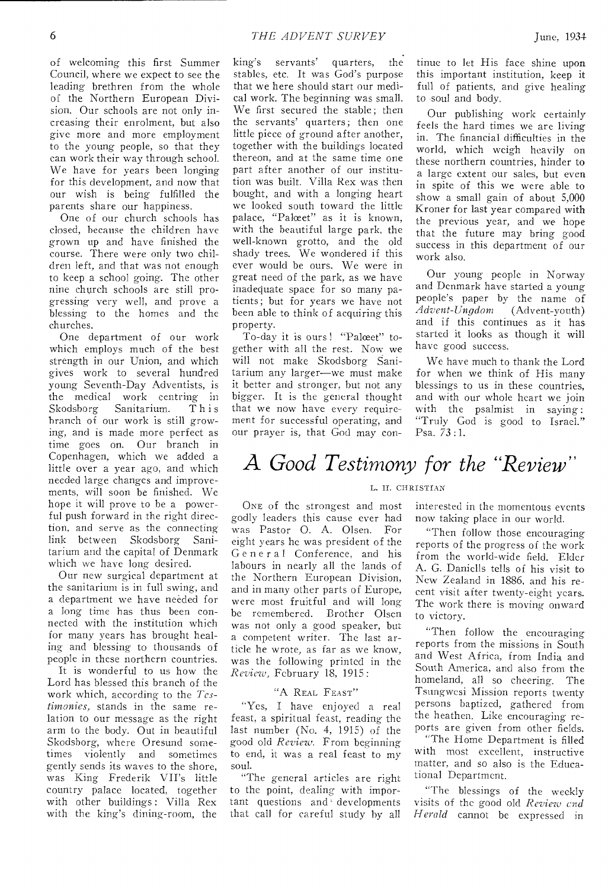of welcoming this first Summer Council, where we expect to see the leading brethren from the whole of the Northern European Division. Our schools are not only increasing their enrolment, but also give more and more employment to the young people, so that they can work their way through school. We have for years been longing for this development, and now that our wish is being fulfilled the parents share our happiness.

One of our church schools has closed, because the children have grown up and have finished the course. There were only two children left, and that was not enough to keep a school going. The other nine church schools are still progressing very well, and prove a blessing to the homes and the churches.

One department of our work which employs much of the best strength in our Union, and which gives work to several hundred young Seventh-Day Adventists, is the medical work centring in<br>Skodsborg Sanitarium. This Sanitarium. branch of our work is still growing, and is made more perfect as time goes on. Our branch in Copenhagen, which we added a little over a year ago, and which needed large changes and improvements, will soon be finished. We hope it will prove to be a powerful push forward in the right direction, and serve as the connecting link between Skodsborg Sanitarium and the capital of Denmark which we have long desired.

Our new surgical department at the sanitarium is in full swing, and a department we have needed for a long time has thus been connected with the institution which for many years has brought healing and blessing to thousands of people in these northern countries.

It is wonderful to us how the Lord has blessed this branch of the work which, according to the *Testimonies,* stands in the same relation to our message as the right arm to the body. Out in beautiful Skodsborg, where Oresund sometimes violently and sometimes gently sends its waves to the shore, was King Frederik VIPs little country palace located, together with other buildings : Villa Rex with the king's dining-room, the

king's servants' quarters, the stables, etc. It was God's purpose that we here should start our medical work. The beginning was small. We first secured the stable; then the servants' quarters; then one little piece of ground after another, together with the buildings located thereon, and at the same time one part after another of our institution was built. Villa Rex was then bought, and with a longing heart we looked south toward the little palace, "Palœet" as it is known, with the beautiful large park, the well-known grotto, and the old shady trees. We wondered if this ever would be ours. We were in great need of the park, as we have inadequate space for so many patients; but for years we have not been able to think of acquiring this property.

To-day it is ours ! "Palceet" together with all the rest. Now we will not make Skodsborg Sanitarium any larger—we must make it better and stronger, but not any bigger. It is the general thought that we now have every requirement for successful operating, and our prayer is, that God may con-

tinue to let His face shine upon this important institution, keep it full of patients, and give healing to soul and body.

Our publishing work certainly feels the hard times we are living in. The financial difficulties in the world, which weigh heavily on these northern countries, hinder to a large extent our sales, but even in spite of this we were able to show a small gain of about 5,000 Kroner for last year compared with the previous year, and we hope that the future may bring good success in this department of our work also.

Our young people in Norway and Denmark have started a young people's paper by the name of *Advent-Ungdom* (Advent-youth) and if this continues as it has started it looks as though it will have good success.

We have much to thank the Lord for when we think of His many blessings to us in these countries, and with our whole heart we join with the psalmist in saying : "Truly God is good to Israel." Psa. 73 :1.

# A *Good Testimony for the "Review"*

#### L. II. CHRISTIAN

ONE of the strongest and most godly leaders this cause ever had was Pastor 0. A. Olsen. For eight years he was president of the General Conference, and his labours in nearly all the lands of the Northern European Division, and in many other parts of Europe, were most fruitful and will long be remembered. Brother Olsen was not only a good speaker, but a competent writer. The last article he wrote, as far as we know, was the following printed in the *Review* February 18, 1915:

#### "A REAL FEAST"

"Yes, I have enjoyed a real feast, a spiritual feast, reading the last number (No. 4, 1915) of the good old *Review.* From beginning to end, it was a real feast to my soul.

"The general articles are right to the point, dealing with important questions and ' developments that call for careful study by all interested in the momentous events now taking place in our world.

"Then follow those encouraging reports of the progress of the work from the world-wide field. Elder A. G. Daniells tells of his visit to New Zealand in 1886, and his recent visit after twenty-eight years. The work there is moving onward to victory.

"Then follow the encouraging reports from the missions in South and West Africa, from India and South America, and also from the homeland, all so cheering. The Tsungwesi Mission reports twenty persons baptized, gathered from the heathen. Like encouraging reports are given from other fields. "The Home Department is filled with most excellent, instructive matter, and so also is the Educational Department.

"The blessings of the weekly visits of the good old *Review end Herald* cannot be expressed in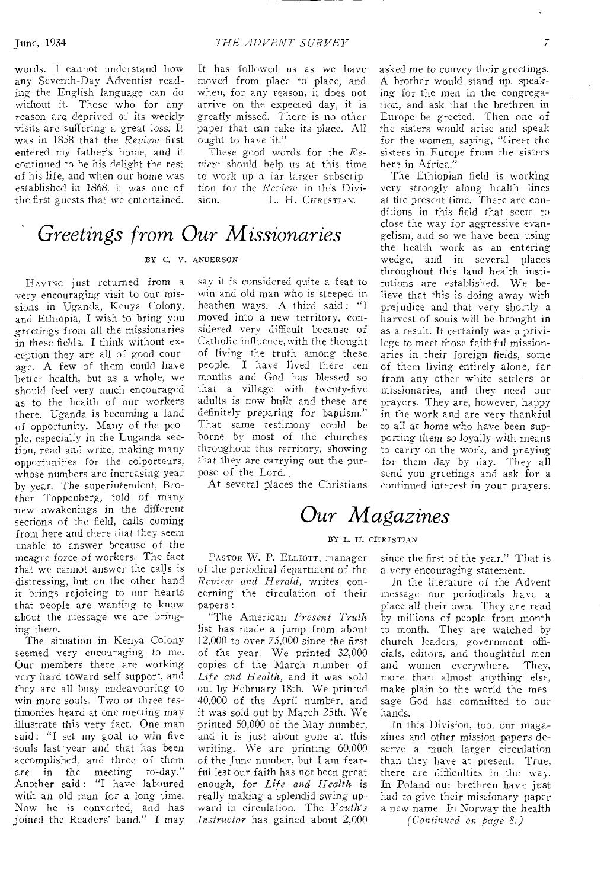words. I cannot understand how any Seventh-Day Adventist reading the English language can do without it. Those who for any reason are. deprived of its weekly -visits are suffering a great *loss.* It was in 1858 that the *Review* first entered my father's home, and it continued to be his delight the rest of his life, and when our home was established in 1868, it was one of the first guests that we entertained.

It has followed us as we have moved from place to place, and when, for any reason, it does not arrive on the expected day, it is greatly missed. There is no other paper that can take its place. All ought to have it."

These good words for the *Review* should help us at this time to work up a far larger subscription for the *Review* in this Division. L. H. CHRISTIAN.

# *Greetings from Our Missionaries*

#### BY C. V. ANDERSON

HAVING just returned from a very encouraging visit to our missions in Uganda, Kenya Colony, and Ethiopia, I wish to bring you greetings from all the missionaries in these fields. I think without exception they are all of good courage. A few of them could have better health, but as a whole, we should feel very much encouraged as to the health of our workers there. Uganda is becoming a land of opportunity. Many of the people, especially in the Luganda section, read and write, making many opportunities for the colporteurs, whose numbers are increasing year by year. The superintendent, Brother Toppenberg, told of many new awakenings in the different -sections of the field, calls coming from here and there that they seem unable to answer because of the meagre force of workers. The fact that we cannot answer the calls is distressing, but on the other hand it brings rejoicing to our hearts that people are wanting to know about the message we are bringing them.

The situation in Kenya Colony seemed very encouraging to me. Our members there are working very hard toward self-support, and they are all busy endeavouring to win more souls. Two or three testimonies heard at one meeting may illustrate this very fact. One man said: "I set my goal to win five souls last year and that has been accomplished, and three of them<br>are in the meeting to-day." are in the meeting Another said : "I have laboured with an old man for a long time. Now he is converted, and has joined the Readers' band." I may say it is considered quite a feat to win and old man who is steeped in heathen ways. A third said: "I moved into a new territory, considered very difficult because of Catholic influence, with the thought of living the truth among these people. I have lived there ten months and God has blessed so that a village with twenty-five adults is now built and these are definitely preparing for baptism." That same testimony could be borne by most of the churches throughout this territory, showing that they are carrying out the purpose of the Lord.

At several places the Christians

asked me to convey their greetings. A brother would stand up, speaking for the men in the congregation, and ask that the brethren in Europe be greeted. Then one of the sisters would arise and speak for the women, saying, "Greet the sisters in Europe from the sisters here in Africa."

The Ethiopian field is working very strongly along health lines at the present time. There are conditions in this field that seem to close the way for aggressive evangelism, and so we have been using the health work as an entering wedge, and in several places throughout this land health institutions are established. We believe that this is doing away with prejudice and that very shortly a harvest of souls will be brought in as a result. It certainly was a privilege to meet those faithful missionaries in their foreign fields, some of them living entirely alone, far from any other white settlers or missionaries, and they need our prayers. They are, however, happy in the work and are very thankful to all at home who have been supporting them so loyally with means to carry on the work, and praying for them day by day. They all send you greetings and ask for a continued interest in your prayers.

# *Our Magazines*

#### BY L. H. CHRISTIAN

PASTOR W. P. ELLIOTT, manager of the periodical department of the *Review and Herald,* writes concerning the circulation of their papers:

"The American *Present Truth*  list has made a jump from about 12,000 to over 75,000 since the first of the year. We printed 32,000 copies of the March number of *Life and Health,* and it was sold out by February 18th. We printed 40,000 of the April number, and it was sold out by March 25th. We printed 50,000 of the May number, and it is just about gone at this writing. We are printing 60,000 of the June number, but I am fearful lest our faith has not been great enough, for *Life and Health* is really making a splendid *swing* upward in circulation. The *Youth's Instructor* has gained about 2,000

since the first of the year." That is a very encouraging statement.

In the literature of the Advent message our periodicals have a place all their own. They are read by millions of people from month to month. They are watched by church leaders, government officials, editors, and thoughtful men and women everywhere. They, more than almost anything else, make plain to the world the message God has committed to our hands.

In this Division, too, our magazines and other mission papers deserve a much larger circulation than they have at present. True, there are difficulties in the way. In Poland our brethren have just had to *give* their missionary paper a new name. In Norway the health

*(Continued on page 8.)*